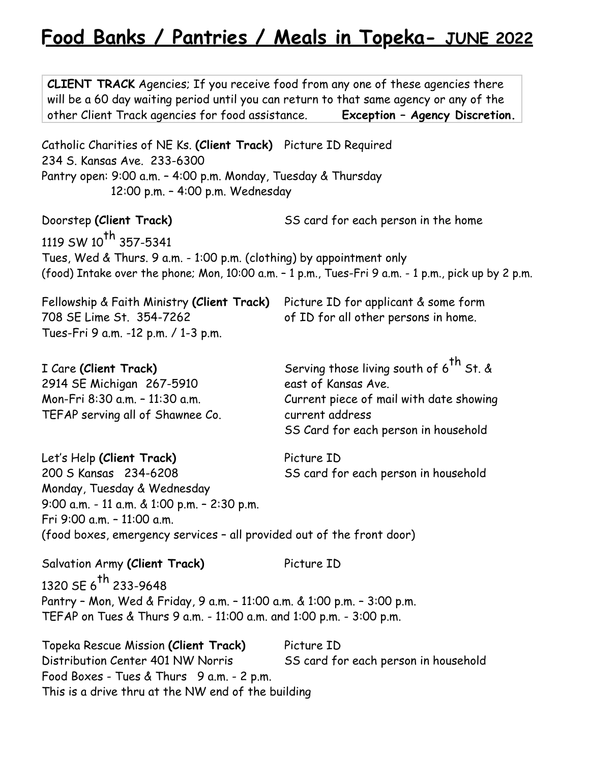# **Food Banks / Pantries / Meals in Topeka- JUNE 2022**

**CLIENT TRACK** Agencies; If you receive food from any one of these agencies there will be a 60 day waiting period until you can return to that same agency or any of the other Client Track agencies for food assistance. **Exception – Agency Discretion.** Catholic Charities of NE Ks. **(Client Track)** Picture ID Required 234 S. Kansas Ave. 233-6300 Pantry open: 9:00 a.m. – 4:00 p.m. Monday, Tuesday & Thursday 12:00 p.m. – 4:00 p.m. Wednesday Doorstep **(Client Track)** SS card for each person in the home 1119 SW 10<sup>th</sup> 357-5341 Tues, Wed & Thurs. 9 a.m. - 1:00 p.m. (clothing) by appointment only (food) Intake over the phone; Mon, 10:00 a.m. – 1 p.m., Tues-Fri 9 a.m. - 1 p.m., pick up by 2 p.m. Fellowship & Faith Ministry **(Client Track)** Picture ID for applicant & some form 708 SE Lime St. 354-7262 of ID for all other persons in home. Tues-Fri 9 a.m. -12 p.m. / 1-3 p.m. I Care **(Client Track)** Serving those living south of 6<sup>th</sup> St. & 2914 SE Michigan 267-5910 east of Kansas Ave. Mon-Fri 8:30 a.m. – 11:30 a.m. Current piece of mail with date showing TEFAP serving all of Shawnee Co. Current address SS Card for each person in household Let's Help (Client Track) Picture ID 200 S Kansas 234-6208 SS card for each person in household Monday, Tuesday & Wednesday 9:00 a.m. - 11 a.m. & 1:00 p.m. – 2:30 p.m. Fri 9:00 a.m. – 11:00 a.m. (food boxes, emergency services – all provided out of the front door) Salvation Army (Client Track) Picture ID 1320 SE 6<sup>th</sup> 233-9648 Pantry – Mon, Wed & Friday, 9 a.m. – 11:00 a.m. & 1:00 p.m. – 3:00 p.m. TEFAP on Tues & Thurs 9 a.m. - 11:00 a.m. and 1:00 p.m. - 3:00 p.m. Topeka Rescue Mission **(Client Track)** Picture ID Distribution Center 401 NW Norris SS card for each person in household Food Boxes - Tues & Thurs 9 a.m. - 2 p.m. This is a drive thru at the NW end of the building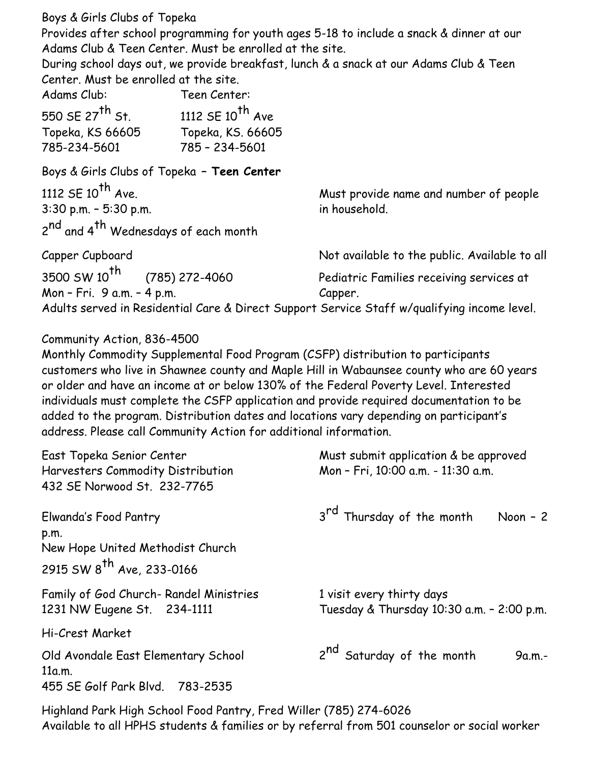Boys & Girls Clubs of Topeka

Provides after school programming for youth ages 5-18 to include a snack & dinner at our Adams Club & Teen Center. Must be enrolled at the site.

During school days out, we provide breakfast, lunch & a snack at our Adams Club & Teen Center. Must be enrolled at the site.

| Adams Club:                 | Teen Center:          |
|-----------------------------|-----------------------|
| 550 SE 27 <sup>th</sup> St. | 1112 SE $10^{th}$ Ave |
| Topeka, KS 66605            | Topeka, KS. 66605     |
| 785-234-5601                | 785 - 234-5601        |

Boys & Girls Clubs of Topeka **– Teen Center** 1112 SE 10<sup>th</sup> Ave. **Must provide name and number of people** 3:30 p.m. – 5:30 p.m. in household. 2<sup>nd</sup> and 4<sup>th</sup> Wednesdays of each month

| Capper Cupboard                                                                             | Not available to the public. Available to all |
|---------------------------------------------------------------------------------------------|-----------------------------------------------|
| $3500 \text{ SW } 10^{\text{th}}$<br>(785) 272-4060                                         | Pediatric Families receiving services at      |
| Mon - Fri. 9 a.m. - 4 p.m.                                                                  | Capper.                                       |
| Adults served in Residential Care & Direct Support Service Staff w/qualifying income level. |                                               |

## Community Action, 836-4500

Monthly Commodity Supplemental Food Program (CSFP) distribution to participants customers who live in Shawnee county and Maple Hill in Wabaunsee county who are 60 years or older and have an income at or below 130% of the Federal Poverty Level. Interested individuals must complete the CSFP application and provide required documentation to be added to the program. Distribution dates and locations vary depending on participant's address. Please call Community Action for additional information.

| East Topeka Senior Center<br>Harvesters Commodity Distribution<br>432 SE Norwood St. 232-7765       | Must submit application & be approved<br>Mon - Fri, 10:00 a.m. - 11:30 a.m. |
|-----------------------------------------------------------------------------------------------------|-----------------------------------------------------------------------------|
| Elwanda's Food Pantry<br>p.m.<br>New Hope United Methodist Church<br>2915 SW $8^{th}$ Ave, 233-0166 | 3 <sup>rd</sup> Thursday of the month<br>Noon $-2$                          |
| Family of God Church-Randel Ministries<br>1231 NW Eugene St. 234-1111                               | 1 visit every thirty days<br>Tuesday & Thursday 10:30 a.m. - 2:00 p.m.      |
| Hi-Crest Market                                                                                     |                                                                             |
| Old Avondale East Elementary School<br>11a.m.<br>455 SE Golf Park Blvd. 783-2535                    | 2 <sup>nd</sup> Saturday of the month<br>9a.m.-                             |

Highland Park High School Food Pantry, Fred Willer (785) 274-6026 Available to all HPHS students & families or by referral from 501 counselor or social worker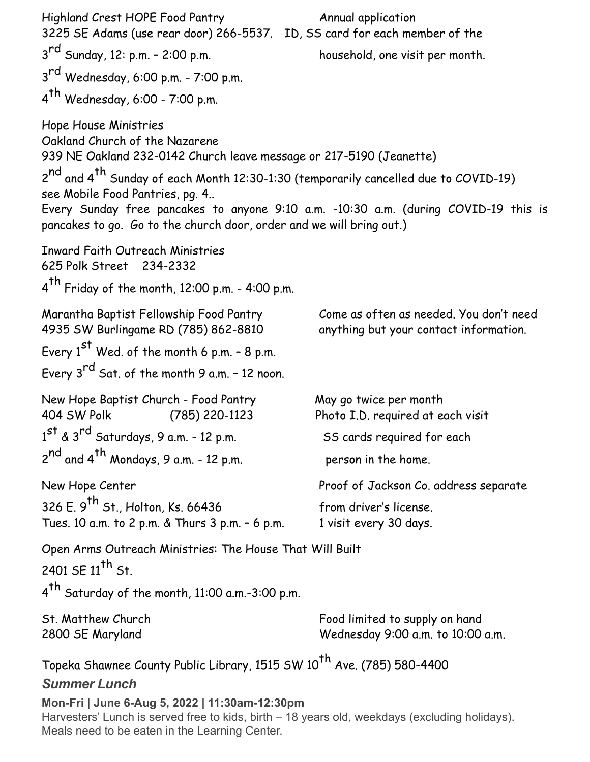| Highland Crest HOPE Food Pantry<br>3225 SE Adams (use rear door) 266-5537. ID, SS card for each member of the                                                                                                          | Annual application                                                                  |
|------------------------------------------------------------------------------------------------------------------------------------------------------------------------------------------------------------------------|-------------------------------------------------------------------------------------|
| 3 <sup>rd</sup> Sunday, 12: p.m. - 2:00 p.m.                                                                                                                                                                           | household, one visit per month.                                                     |
| 3 <sup>rd</sup> Wednesday, 6:00 p.m. - 7:00 p.m.                                                                                                                                                                       |                                                                                     |
| $4th$ Wednesday, 6:00 - 7:00 p.m.                                                                                                                                                                                      |                                                                                     |
| Hope House Ministries<br>Oakland Church of the Nazarene<br>939 NE Oakland 232-0142 Church leave message or 217-5190 (Jeanette)                                                                                         |                                                                                     |
| 2 <sup>nd</sup> and 4 <sup>th</sup> Sunday of each Month 12:30-1:30 (temporarily cancelled due to COVID-19)<br>see Mobile Food Pantries, pg. 4<br>pancakes to go. Go to the church door, order and we will bring out.) | Every Sunday free pancakes to anyone 9:10 a.m. -10:30 a.m. (during COVID-19 this is |
| <b>Inward Faith Outreach Ministries</b><br>625 Polk Street 234-2332                                                                                                                                                    |                                                                                     |
| $4^{th}$ Friday of the month, 12:00 p.m. - 4:00 p.m.                                                                                                                                                                   |                                                                                     |
| Marantha Baptist Fellowship Food Pantry<br>4935 SW Burlingame RD (785) 862-8810                                                                                                                                        | Come as often as needed. You don't need<br>anything but your contact information.   |
| Every $1^{st}$ Wed. of the month 6 p.m. - 8 p.m.                                                                                                                                                                       |                                                                                     |
| Every $3^{rd}$ Sat. of the month 9 a.m. - 12 noon.                                                                                                                                                                     |                                                                                     |
| New Hope Baptist Church - Food Pantry<br>404 SW Polk<br>$(785)$ 220-1123                                                                                                                                               | May go twice per month<br>Photo I.D. required at each visit                         |
| 1st & 3rd Saturdays, 9 a.m. - 12 p.m.                                                                                                                                                                                  | SS cards required for each                                                          |
| 2 <sup>nd</sup> and 4 <sup>th</sup> Mondays, 9 a.m. - 12 p.m.                                                                                                                                                          | person in the home.                                                                 |
| New Hope Center                                                                                                                                                                                                        | Proof of Jackson Co. address separate                                               |
| 326 E. 9 <sup>th</sup> St., Holton, Ks. 66436<br>Tues. 10 a.m. to 2 p.m. & Thurs 3 p.m. - 6 p.m.                                                                                                                       | from driver's license.<br>1 visit every 30 days.                                    |
| Open Arms Outreach Ministries: The House That Will Built<br>2401 SE $11^{th}$ St.<br>4 <sup>th</sup> Saturday of the month, 11:00 a.m.-3:00 p.m.                                                                       |                                                                                     |
|                                                                                                                                                                                                                        |                                                                                     |
| St. Matthew Church<br>2800 SE Maryland                                                                                                                                                                                 | Food limited to supply on hand<br>Wednesday 9:00 a.m. to 10:00 a.m.                 |
| Topeka Shawnee County Public Library, 1515 SW 10 <sup>th</sup> Ave. (785) 580-4400<br><b>Summer Lunch</b>                                                                                                              |                                                                                     |
| Mon-Fri   June 6-Aug 5, 2022   11:30am-12:30pm<br>Harvesters' Lunch is served free to kids, birth - 18 years old, weekdays (excluding holidays).<br>Meals need to be eaten in the Learning Center.                     |                                                                                     |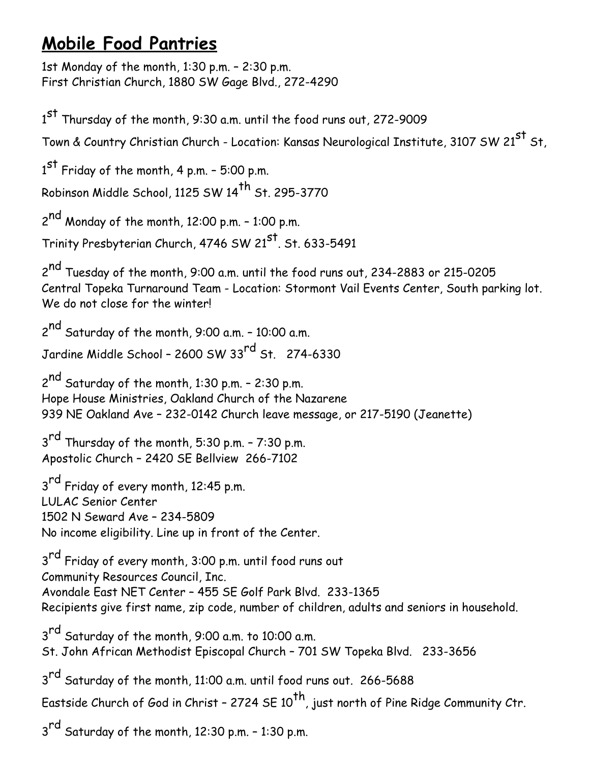# **Mobile Food Pantries**

1st Monday of the month, 1:30 p.m. – 2:30 p.m. First Christian Church, 1880 SW Gage Blvd., 272-4290

1<sup>st</sup> Thursday of the month, 9:30 a.m. until the food runs out, 272-9009 Town & Country Christian Church - Location: Kansas Neurological Institute, 3107 SW 21<sup>st</sup> St,  $1^\mathsf{st}$  Friday of the month, 4 p.m. - 5:00 p.m. Robinson Middle School, 1125 SW 14<sup>th</sup> St. 295-3770 2<sup>nd</sup> Monday of the month, 12:00 p.m. - 1:00 p.m. Trinity Presbyterian Church, 4746 SW 21<sup>st</sup>. St. 633-5491 2<sup>nd</sup> Tuesday of the month, 9:00 a.m. until the food runs out, 234-2883 or 215-0205 Central Topeka Turnaround Team - Location: Stormont Vail Events Center, South parking lot. We do not close for the winter! 2<sup>nd</sup> Saturday of the month, 9:00 a.m. - 10:00 a.m. Jardine Middle School - 2600 SW 33<sup>rd</sup> St. 274-6330 2<sup>nd</sup> Saturday of the month, 1:30 p.m. - 2:30 p.m. Hope House Ministries, Oakland Church of the Nazarene 939 NE Oakland Ave – 232-0142 Church leave message, or 217-5190 (Jeanette) 3<sup>rd</sup> Thursday of the month, 5:30 p.m. - 7:30 p.m. Apostolic Church – 2420 SE Bellview 266-7102 3<sup>rd</sup> Friday of every month, 12:45 p.m. LULAC Senior Center 1502 N Seward Ave – 234-5809 No income eligibility. Line up in front of the Center. 3<sup>rd</sup> Friday of every month, 3:00 p.m. until food runs out Community Resources Council, Inc. Avondale East NET Center – 455 SE Golf Park Blvd. 233-1365 Recipients give first name, zip code, number of children, adults and seniors in household. 3<sup>rd</sup> Saturday of the month, 9:00 a.m. to 10:00 a.m. St. John African Methodist Episcopal Church – 701 SW Topeka Blvd. 233-3656 3<sup>rd</sup> Saturday of the month, 11:00 a.m. until food runs out. 266-5688 Eastside Church of God in Christ - 2724 SE  $10^{th}$ , just north of Pine Ridge Community Ctr.  $3<sup>rd</sup>$  Saturday of the month, 12:30 p.m. - 1:30 p.m.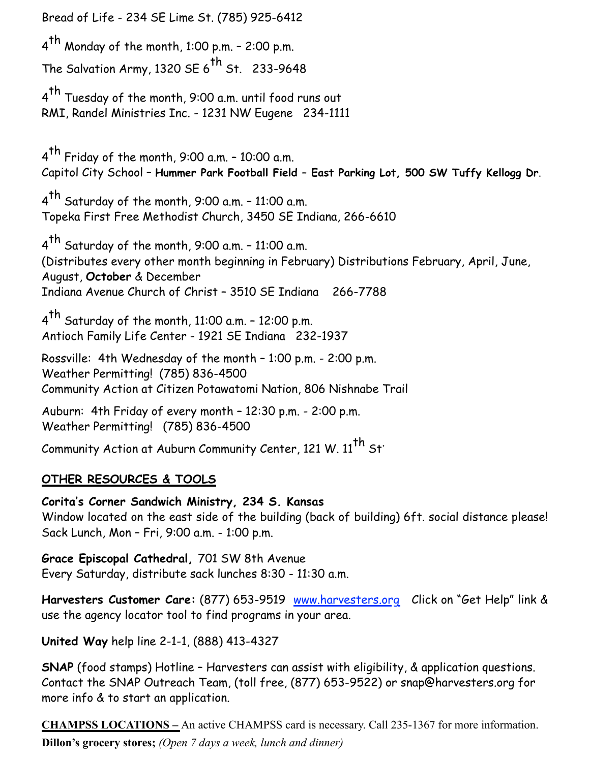Bread of Life - 234 SE Lime St. (785) 925-6412  $4<sup>th</sup>$  Monday of the month, 1:00 p.m. - 2:00 p.m. The Salvation Army, 1320 SE  $6^{th}$  St. 233-9648 4<sup>th</sup> Tuesday of the month, 9:00 a.m. until food runs out RMI, Randel Ministries Inc. - 1231 NW Eugene 234-1111  $4<sup>th</sup>$  Friday of the month, 9:00 a.m. - 10:00 a.m. Capitol City School – **Hummer Park Football Field – East Parking Lot, 500 SW Tuffy Kellogg Dr**.  $4<sup>th</sup>$  Saturday of the month, 9:00 a.m. - 11:00 a.m. Topeka First Free Methodist Church, 3450 SE Indiana, 266-6610 <sup>4</sup>th Saturday of the month, 9:00 a.m. – 11:00 a.m. (Distributes every other month beginning in February) Distributions February, April, June, August, **October** & December Indiana Avenue Church of Christ – 3510 SE Indiana 266-7788  $4<sup>th</sup>$  Saturday of the month, 11:00 a.m. - 12:00 p.m. Antioch Family Life Center - 1921 SE Indiana 232-1937 Rossville: 4th Wednesday of the month – 1:00 p.m. - 2:00 p.m. Weather Permitting! (785) 836-4500 Community Action at Citizen Potawatomi Nation, 806 Nishnabe Trail Auburn: 4th Friday of every month – 12:30 p.m. - 2:00 p.m. Weather Permitting! (785) 836-4500 Community Action at Auburn Community Center, 121 W. 11<sup>th</sup> St<sup>.</sup>

## **OTHER RESOURCES & TOOLS**

**Corita's Corner Sandwich Ministry, 234 S. Kansas**  Window located on the east side of the building (back of building) 6ft. social distance please! Sack Lunch, Mon – Fri, 9:00 a.m. - 1:00 p.m.

**Grace Episcopal Cathedral,** 701 SW 8th Avenue Every Saturday, distribute sack lunches 8:30 - 11:30 a.m.

**Harvesters Customer Care:** (877) 653-9519 [www.harvesters.org](http://www.harvesters.org) Click on "Get Help" link & use the agency locator tool to find programs in your area.

**United Way** help line 2-1-1, (888) 413-4327

**SNAP** (food stamps) Hotline - Harvesters can assist with eligibility, & application questions. Contact the SNAP Outreach Team, (toll free, (877) 653-9522) or snap@harvesters.org for more info & to start an application.

**CHAMPSS LOCATIONS –** An active CHAMPSS card is necessary. Call 235-1367 for more information. **Dillon's grocery stores;** *(Open 7 days a week, lunch and dinner)*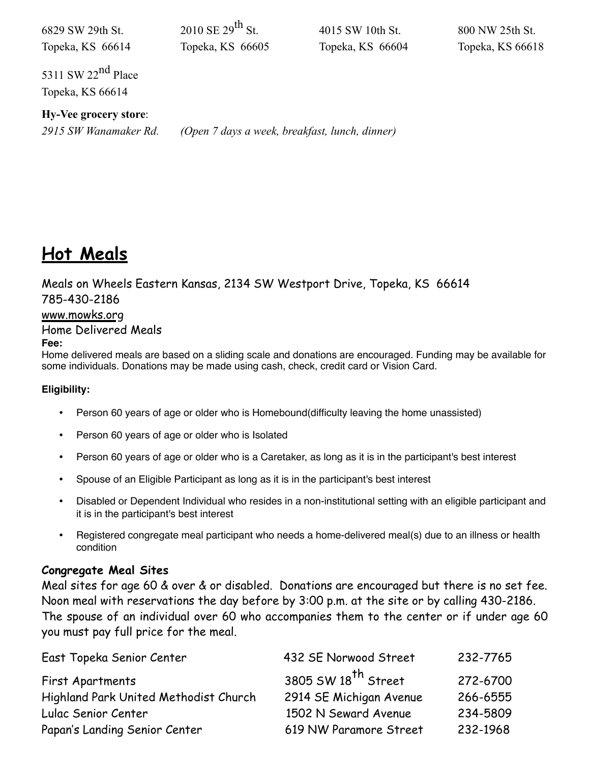| 6829 SW 29th St.<br>Topeka, KS 66614           | 2010 SE $29^{th}$ St<br>Topeka, KS 66605       | 4015 SW 10th St.<br>Topeka, KS 66604 | 800 NW 25th St.<br>Topeka, KS 66618 |
|------------------------------------------------|------------------------------------------------|--------------------------------------|-------------------------------------|
| 5311 SW $22^{nd}$ Place<br>Topeka, KS 66614    |                                                |                                      |                                     |
| Hy-Vee grocery store:<br>2915 SW Wanamaker Rd. | (Open 7 days a week, breakfast, lunch, dinner) |                                      |                                     |

## **Hot Meals**

Meals on Wheels Eastern Kansas, 2134 SW Westport Drive, Topeka, KS 66614 785-430-2186

#### [www.mowks.org](http://www.mowks.org)

### Home Delivered Meals

#### **Fee:**

Home delivered meals are based on a sliding scale and donations are encouraged. Funding may be available for some individuals. Donations may be made using cash, check, credit card or Vision Card.

#### **Eligibility:**

- Person 60 years of age or older who is Homebound(difficulty leaving the home unassisted)
- Person 60 years of age or older who is Isolated
- Person 60 years of age or older who is a Caretaker, as long as it is in the participant's best interest
- Spouse of an Eligible Participant as long as it is in the participant's best interest
- Disabled or Dependent Individual who resides in a non-institutional setting with an eligible participant and it is in the participant's best interest
- Registered congregate meal participant who needs a home-delivered meal(s) due to an illness or health condition

#### **Congregate Meal Sites**

Meal sites for age 60 & over & or disabled. Donations are encouraged but there is no set fee. Noon meal with reservations the day before by 3:00 p.m. at the site or by calling 430-2186. The spouse of an individual over 60 who accompanies them to the center or if under age 60 you must pay full price for the meal.

| East Topeka Senior Center             | 432 SE Norwood Street   | 232-7765 |
|---------------------------------------|-------------------------|----------|
| First Apartments                      | 3805 SW $18th$ Street   | 272-6700 |
| Highland Park United Methodist Church | 2914 SE Michigan Avenue | 266-6555 |
| Lulac Senior Center                   | 1502 N Seward Avenue    | 234-5809 |
| Papan's Landing Senior Center         | 619 NW Paramore Street  | 232-1968 |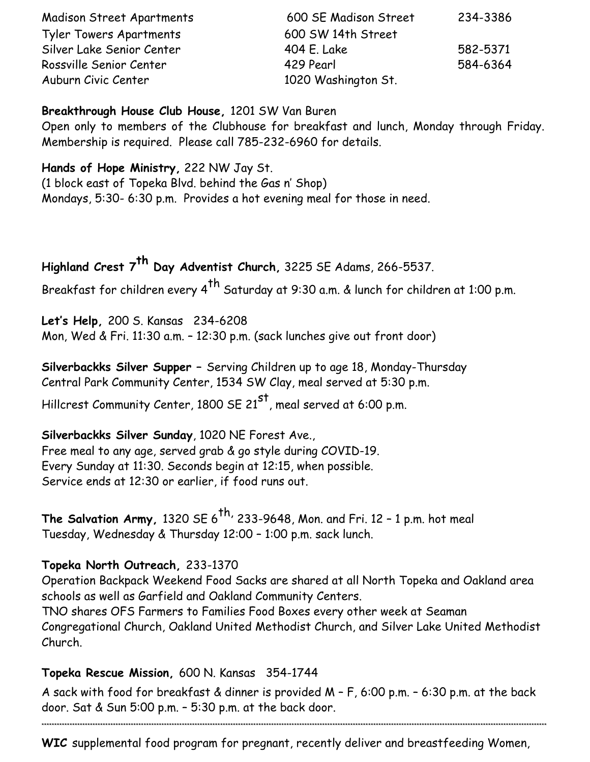| <b>Madison Street Apartments</b> | 600 SE Madison Street | 234-3386 |
|----------------------------------|-----------------------|----------|
| <b>Tyler Towers Apartments</b>   | 600 SW 14th Street    |          |
| Silver Lake Senior Center        | 404 E. Lake           | 582-5371 |
| Rossville Senior Center          | 429 Pearl             | 584-6364 |
| Auburn Civic Center              | 1020 Washington St.   |          |

### **Breakthrough House Club House,** 1201 SW Van Buren

Open only to members of the Clubhouse for breakfast and lunch, Monday through Friday. Membership is required. Please call 785-232-6960 for details.

## **Hands of Hope Ministry,** 222 NW Jay St.

(1 block east of Topeka Blvd. behind the Gas n' Shop) Mondays, 5:30- 6:30 p.m. Provides a hot evening meal for those in need.

## **Highland Crest 7th Day Adventist Church,** 3225 SE Adams, 266-5537.

Breakfast for children every  $4^{th}$  Saturday at 9:30 a.m. & lunch for children at 1:00 p.m.

**Let's Help,** 200 S. Kansas 234-6208 Mon, Wed & Fri. 11:30 a.m. – 12:30 p.m. (sack lunches give out front door)

**Silverbackks Silver Supper –** Serving Children up to age 18, Monday-Thursday Central Park Community Center, 1534 SW Clay, meal served at 5:30 p.m.

Hillcrest Community Center, 1800 SE  $21^{st}$ , meal served at 6:00 p.m.

## **Silverbackks Silver Sunday**, 1020 NE Forest Ave., Free meal to any age, served grab & go style during COVID-19. Every Sunday at 11:30. Seconds begin at 12:15, when possible. Service ends at 12:30 or earlier, if food runs out.

**The Salvation Army,** 1320 SE 6<sup>th,</sup> 233-9648, Mon. and Fri. 12 - 1 p.m. hot meal Tuesday, Wednesday & Thursday 12:00 – 1:00 p.m. sack lunch.

## **Topeka North Outreach,** 233-1370

Operation Backpack Weekend Food Sacks are shared at all North Topeka and Oakland area schools as well as Garfield and Oakland Community Centers. TNO shares OFS Farmers to Families Food Boxes every other week at Seaman

Congregational Church, Oakland United Methodist Church, and Silver Lake United Methodist Church.

## **Topeka Rescue Mission,** 600 N. Kansas 354-1744

A sack with food for breakfast & dinner is provided M – F, 6:00 p.m. – 6:30 p.m. at the back door. Sat & Sun 5:00 p.m. – 5:30 p.m. at the back door.

\*\*\*\*\*\*\*\*\*\*\*\*\*\*\*\*\*\*\*\*\*\*\*\*\*\*\*\*\*\*\*\*\*\*\*\*\*\*\*\*\*\*\*\*\*\*\*\*\*\*\*\*\*\*\*\*\*\*\*\*\*\*\*\*\*\*\*\*\*\*\*\*\*\*\*\*\*\*\*\*\*\*\*\*\*\*\*\*\*\*\*\*\*\*\*\*\*\*\*\*\*\*\*\*\*\*\*\*\*\*\*\*\*\*\*\*\*\*\*\*\*\*\*\*\*\*\*\*\*\*\*\*\*\*\*\*\*\*\*\*\*\*\*\*\*\*\*\*\*\*\*\*\*\*\*\*\*\*\*\*\*\*\*\*\*\*\*\*\*\*\*\*\*\*\*\*\*\*\*\*\*\*\*\*\*\*\*\*\*\*\*\*\*\*\*\*\*\*

**WIC** supplemental food program for pregnant, recently deliver and breastfeeding Women,